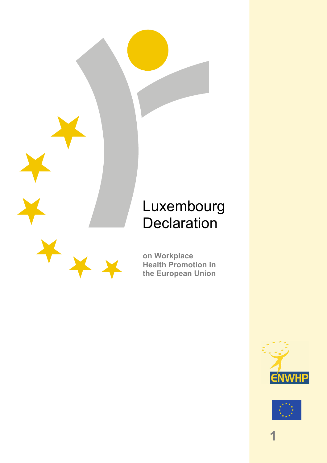# Luxembourg **Declaration**



**on Workplace Health Promotion in the European Union** 



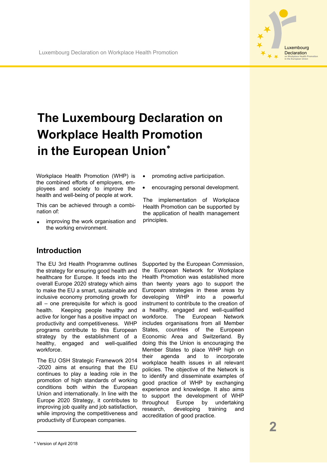

## **The Luxembourg Declaration on Workplace Health Promotion in the European Union**<sup>∗</sup>

Workplace Health Promotion (WHP) is the combined efforts of employers, employees and society to improve the health and well-being of people at work.

This can be achieved through a combination of:

- improving the work organisation and the working environment.
- promoting active participation.
- encouraging personal development.

The implementation of Workplace Health Promotion can be supported by the application of health management principles.

#### **Introduction**

The EU 3rd Health Programme outlines the strategy for ensuring good health and healthcare for Europe. It feeds into the overall Europe 2020 strategy which aims to make the EU a smart, sustainable and inclusive economy promoting growth for all – one prerequisite for which is good health. Keeping people healthy and active for longer has a positive impact on productivity and competitiveness. WHP programs contribute to this European strategy by the establishment of a healthy, engaged and well-qualified workforce.

The EU OSH Strategic Framework 2014 -2020 aims at ensuring that the EU continues to play a leading role in the promotion of high standards of working conditions both within the European Union and internationally. In line with the Europe 2020 Strategy, it contributes to improving job quality and job satisfaction, while improving the competitiveness and productivity of European companies.

Supported by the European Commission, the European Network for Workplace Health Promotion was established more than twenty years ago to support the European strategies in these areas by developing WHP into a powerful instrument to contribute to the creation of a healthy, engaged and well-qualified workforce. The European Network includes organisations from all Member States, countries of the European Economic Area and Switzerland. By doing this the Union is encouraging the Member States to place WHP high on their agenda and to incorporate workplace health issues in all relevant policies. The objective of the Network is to identify and disseminate examples of good practice of WHP by exchanging experience and knowledge. It also aims to support the development of WHP throughout Europe by undertaking research, developing training and accreditation of good practice.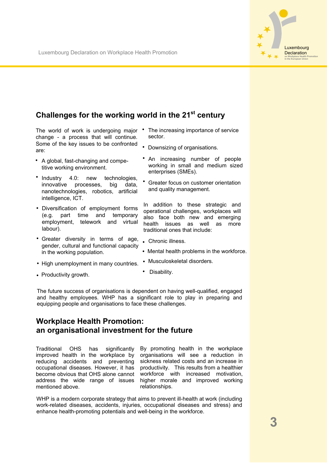

### **Challenges for the working world in the 21st century**

The world of work is undergoing major • The increasing importance of service change - a process that will continue. Some of the key issues to be confronted are:

- A global, fast-changing and competitive working environment.
- Industry 4.0: new technologies, innovative processes, big data, nanotechnologies, robotics, artificial intelligence, ICT.
- Diversification of employment forms (e.g. part time and temporary employment, telework and virtual labour).
- Greater diversity in terms of age, gender, cultural and functional capacity in the working population.
- High unemployment in many countries.
- sector. • Downsizing of organisations.
- An increasing number of people working in small and medium sized enterprises (SMEs).
- • Greater focus on customer orientation and quality management.

In addition to these strategic and operational challenges, workplaces will also face both new and emerging health issues as well as more traditional ones that include:

- Chronic illness.
- Mental health problems in the workforce.
- Musculoskeletal disorders.

• Productivity growth.

Disability.

The future success of organisations is dependent on having well-qualified, engaged and healthy employees. WHP has a significant role to play in preparing and equipping people and organisations to face these challenges.

#### **Workplace Health Promotion: an organisational investment for the future**

Traditional OHS has significantly improved health in the workplace by reducing accidents and preventing occupational diseases. However, it has become obvious that OHS alone cannot address the wide range of issues mentioned above.

By promoting health in the workplace organisations will see a reduction in sickness related costs and an increase in productivity. This results from a healthier workforce with increased motivation, higher morale and improved working relationships.

WHP is a modern corporate strategy that aims to prevent ill-health at work (including work-related diseases, accidents, injuries, occupational diseases and stress) and enhance health-promoting potentials and well-being in the workforce.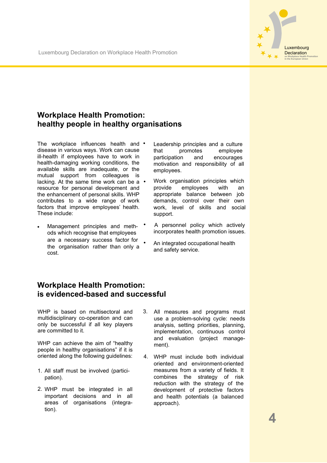#### **Workplace Health Promotion: healthy people in healthy organisations**

The workplace influences health and • disease in various ways. Work can cause ill-health if employees have to work in health-damaging working conditions, the available skills are inadequate, or the mutual support from colleagues is lacking. At the same time work can be a • resource for personal development and the enhancement of personal skills. WHP contributes to a wide range of work factors that improve employees' health. These include:

• Management principles and methods which recognise that employees are a necessary success factor for the organisation rather than only a cost.

- Leadership principles and a culture that promotes employee participation and encourages motivation and responsibility of all employees.
- Work organisation principles which provide employees with an appropriate balance between job demands, control over their own work, level of skills and social support.
- A personnel policy which actively incorporates health promotion issues.
- An integrated occupational health and safety service.

#### **Workplace Health Promotion: is evidenced-based and successful**

WHP is based on multisectoral and multidisciplinary co-operation and can only be successful if all key players are committed to it.

WHP can achieve the aim of "healthy people in healthy organisations" if it is oriented along the following guidelines:

- 1. All staff must be involved (participation).
- 2. WHP must be integrated in all important decisions and in all areas of organisations (integration).
- 3. All measures and programs must use a problem-solving cycle: needs analysis, setting priorities, planning, implementation, continuous control and evaluation (project management).
- 4. WHP must include both individual oriented and environment-oriented measures from a variety of fields. It combines the strategy of risk reduction with the strategy of the development of protective factors and health potentials (a balanced approach).